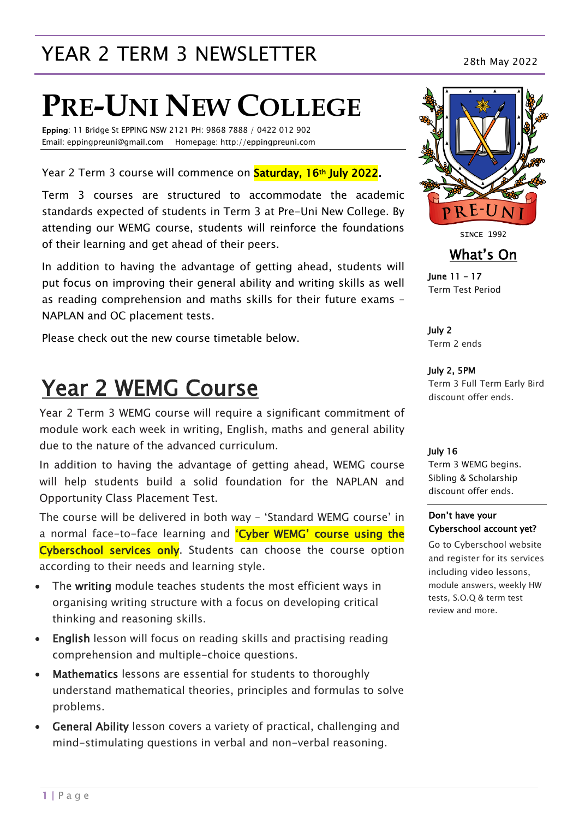# YEAR 2 TERM 3 NEWSLETTER<br>28th May 2022

# **PRE-UNI NEW COLLEGE**

Epping: 11 Bridge St EPPING NSW 2121 PH: 9868 7888 / 0422 012 902 Email: eppingpreuni@gmail.com Homepage: http://eppingpreuni.com

Year 2 Term 3 course will commence on **Saturday, 16th July 2022.** 

Term 3 courses are structured to accommodate the academic standards expected of students in Term 3 at Pre-Uni New College. By attending our WEMG course, students will reinforce the foundations of their learning and get ahead of their peers.

In addition to having the advantage of getting ahead, students will put focus on improving their general ability and writing skills as well as reading comprehension and maths skills for their future exams – NAPLAN and OC placement tests.

Please check out the new course timetable below.

# Year 2 WEMG Course

Year 2 Term 3 WEMG course will require a significant commitment of module work each week in writing, English, maths and general ability due to the nature of the advanced curriculum.

In addition to having the advantage of getting ahead, WEMG course will help students build a solid foundation for the NAPLAN and Opportunity Class Placement Test.

The course will be delivered in both way – 'Standard WEMG course' in a normal face-to-face learning and 'Cyber WEMG' course using the Cyberschool services only. Students can choose the course option according to their needs and learning style.

- The writing module teaches students the most efficient ways in organising writing structure with a focus on developing critical thinking and reasoning skills.
- English lesson will focus on reading skills and practising reading comprehension and multiple-choice questions.
- Mathematics lessons are essential for students to thoroughly understand mathematical theories, principles and formulas to solve problems.
- General Ability lesson covers a variety of practical, challenging and mind-stimulating questions in verbal and non-verbal reasoning.



**SINCE 1992** 

### What's On

June 11 – 17 Term Test Period

July 2 Term 2 ends

July 2, 5PM Term 3 Full Term Early Bird discount offer ends.

#### July 16

Term 3 WEMG begins. Sibling & Scholarship discount offer ends.

#### Don't have your Cyberschool account yet?

Go to Cyberschool website and register for its services including video lessons, module answers, weekly HW tests, S.O.Q & term test review and more.